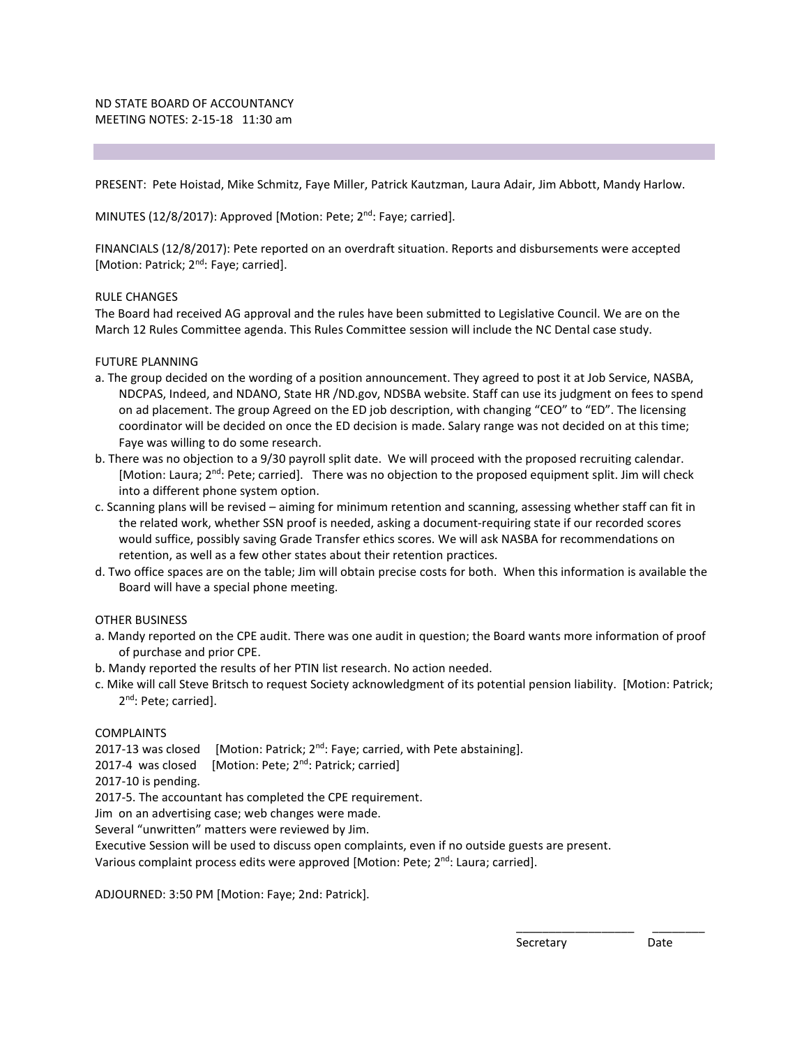PRESENT: Pete Hoistad, Mike Schmitz, Faye Miller, Patrick Kautzman, Laura Adair, Jim Abbott, Mandy Harlow.

MINUTES (12/8/2017): Approved [Motion: Pete; 2<sup>nd</sup>: Faye; carried].

FINANCIALS (12/8/2017): Pete reported on an overdraft situation. Reports and disbursements were accepted [Motion: Patrick; 2<sup>nd</sup>: Faye; carried].

#### RULE CHANGES

The Board had received AG approval and the rules have been submitted to Legislative Council. We are on the March 12 Rules Committee agenda. This Rules Committee session will include the NC Dental case study.

#### FUTURE PLANNING

- a. The group decided on the wording of a position announcement. They agreed to post it at Job Service, NASBA, NDCPAS, Indeed, and NDANO, State HR /ND.gov, NDSBA website. Staff can use its judgment on fees to spend on ad placement. The group Agreed on the ED job description, with changing "CEO" to "ED". The licensing coordinator will be decided on once the ED decision is made. Salary range was not decided on at this time; Faye was willing to do some research.
- b. There was no objection to a 9/30 payroll split date. We will proceed with the proposed recruiting calendar. [Motion: Laura; 2<sup>nd</sup>: Pete; carried]. There was no objection to the proposed equipment split. Jim will check into a different phone system option.
- c. Scanning plans will be revised aiming for minimum retention and scanning, assessing whether staff can fit in the related work, whether SSN proof is needed, asking a document-requiring state if our recorded scores would suffice, possibly saving Grade Transfer ethics scores. We will ask NASBA for recommendations on retention, as well as a few other states about their retention practices.
- d. Two office spaces are on the table; Jim will obtain precise costs for both. When this information is available the Board will have a special phone meeting.

#### OTHER BUSINESS

- a. Mandy reported on the CPE audit. There was one audit in question; the Board wants more information of proof of purchase and prior CPE.
- b. Mandy reported the results of her PTIN list research. No action needed.
- c. Mike will call Steve Britsch to request Society acknowledgment of its potential pension liability. [Motion: Patrick; 2<sup>nd</sup>: Pete; carried].

\_\_\_\_\_\_\_\_\_\_\_\_\_\_\_\_\_\_ \_\_\_\_\_\_\_\_

#### COMPLAINTS

- 2017-13 was closed [Motion: Patrick;  $2^{nd}$ : Faye; carried, with Pete abstaining].
- 2017-4 was closed [Motion: Pete; 2<sup>nd</sup>: Patrick; carried]

2017-10 is pending.

2017-5. The accountant has completed the CPE requirement.

Jim on an advertising case; web changes were made.

Several "unwritten" matters were reviewed by Jim.

Executive Session will be used to discuss open complaints, even if no outside guests are present.

Various complaint process edits were approved [Motion: Pete;  $2<sup>nd</sup>$ : Laura; carried].

ADJOURNED: 3:50 PM [Motion: Faye; 2nd: Patrick].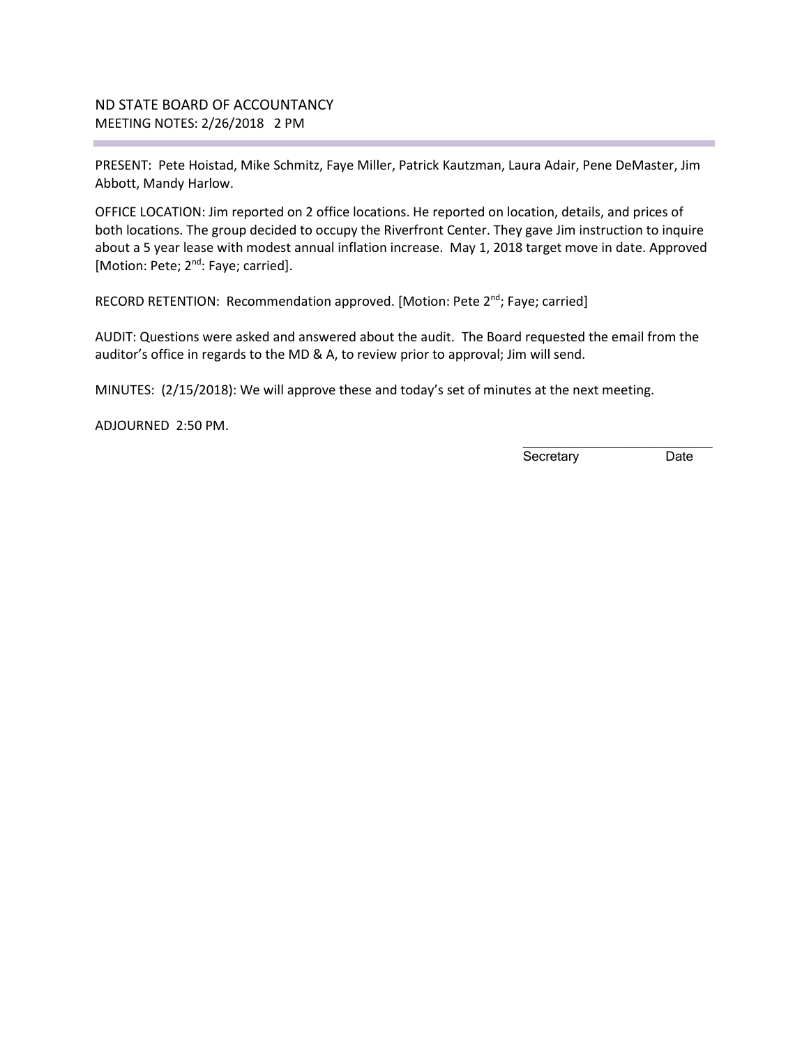## ND STATE BOARD OF ACCOUNTANCY MEETING NOTES: 2/26/2018 2 PM

PRESENT: Pete Hoistad, Mike Schmitz, Faye Miller, Patrick Kautzman, Laura Adair, Pene DeMaster, Jim Abbott, Mandy Harlow.

OFFICE LOCATION: Jim reported on 2 office locations. He reported on location, details, and prices of both locations. The group decided to occupy the Riverfront Center. They gave Jim instruction to inquire about a 5 year lease with modest annual inflation increase. May 1, 2018 target move in date. Approved [Motion: Pete; 2<sup>nd</sup>: Faye; carried].

RECORD RETENTION: Recommendation approved. [Motion: Pete 2<sup>nd</sup>; Faye; carried]

AUDIT: Questions were asked and answered about the audit. The Board requested the email from the auditor's office in regards to the MD & A, to review prior to approval; Jim will send.

MINUTES: (2/15/2018): We will approve these and today's set of minutes at the next meeting.

ADJOURNED 2:50 PM.

Secretary Date

\_\_\_\_\_\_\_\_\_\_\_\_\_\_\_\_\_\_\_\_\_\_\_\_\_\_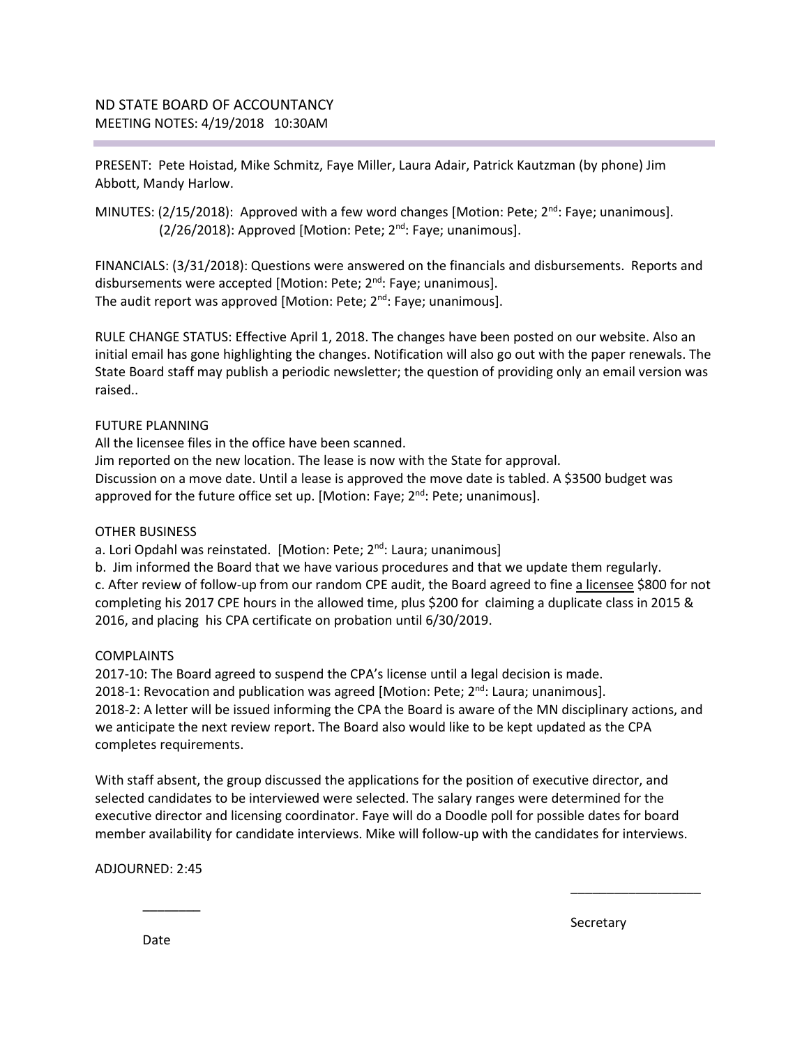PRESENT: Pete Hoistad, Mike Schmitz, Faye Miller, Laura Adair, Patrick Kautzman (by phone) Jim Abbott, Mandy Harlow.

MINUTES:  $(2/15/2018)$ : Approved with a few word changes [Motion: Pete;  $2<sup>nd</sup>$ : Faye; unanimous].  $(2/26/2018)$ : Approved [Motion: Pete;  $2<sup>nd</sup>$ : Faye; unanimous].

FINANCIALS: (3/31/2018): Questions were answered on the financials and disbursements. Reports and disbursements were accepted [Motion: Pete; 2<sup>nd</sup>: Faye; unanimous]. The audit report was approved [Motion: Pete;  $2^{nd}$ : Faye; unanimous].

RULE CHANGE STATUS: Effective April 1, 2018. The changes have been posted on our website. Also an initial email has gone highlighting the changes. Notification will also go out with the paper renewals. The State Board staff may publish a periodic newsletter; the question of providing only an email version was raised..

## FUTURE PLANNING

All the licensee files in the office have been scanned. Jim reported on the new location. The lease is now with the State for approval. Discussion on a move date. Until a lease is approved the move date is tabled. A \$3500 budget was approved for the future office set up. [Motion: Faye;  $2^{nd}$ : Pete; unanimous].

## OTHER BUSINESS

a. Lori Opdahl was reinstated. [Motion: Pete; 2<sup>nd</sup>: Laura; unanimous]

b. Jim informed the Board that we have various procedures and that we update them regularly. c. After review of follow-up from our random CPE audit, the Board agreed to fine a licensee \$800 for not completing his 2017 CPE hours in the allowed time, plus \$200 for claiming a duplicate class in 2015 & 2016, and placing his CPA certificate on probation until 6/30/2019.

## COMPLAINTS

2017-10: The Board agreed to suspend the CPA's license until a legal decision is made. 2018-1: Revocation and publication was agreed [Motion: Pete;  $2<sup>nd</sup>$ : Laura; unanimous]. 2018-2: A letter will be issued informing the CPA the Board is aware of the MN disciplinary actions, and we anticipate the next review report. The Board also would like to be kept updated as the CPA completes requirements.

With staff absent, the group discussed the applications for the position of executive director, and selected candidates to be interviewed were selected. The salary ranges were determined for the executive director and licensing coordinator. Faye will do a Doodle poll for possible dates for board member availability for candidate interviews. Mike will follow-up with the candidates for interviews.

 $\overline{\phantom{a}}$  , and the contract of the contract of the contract of the contract of the contract of the contract of the contract of the contract of the contract of the contract of the contract of the contract of the contrac

ADJOURNED: 2:45

Secretary and the secretary of the secretary secretary secretary

Date

 $\overline{\phantom{a}}$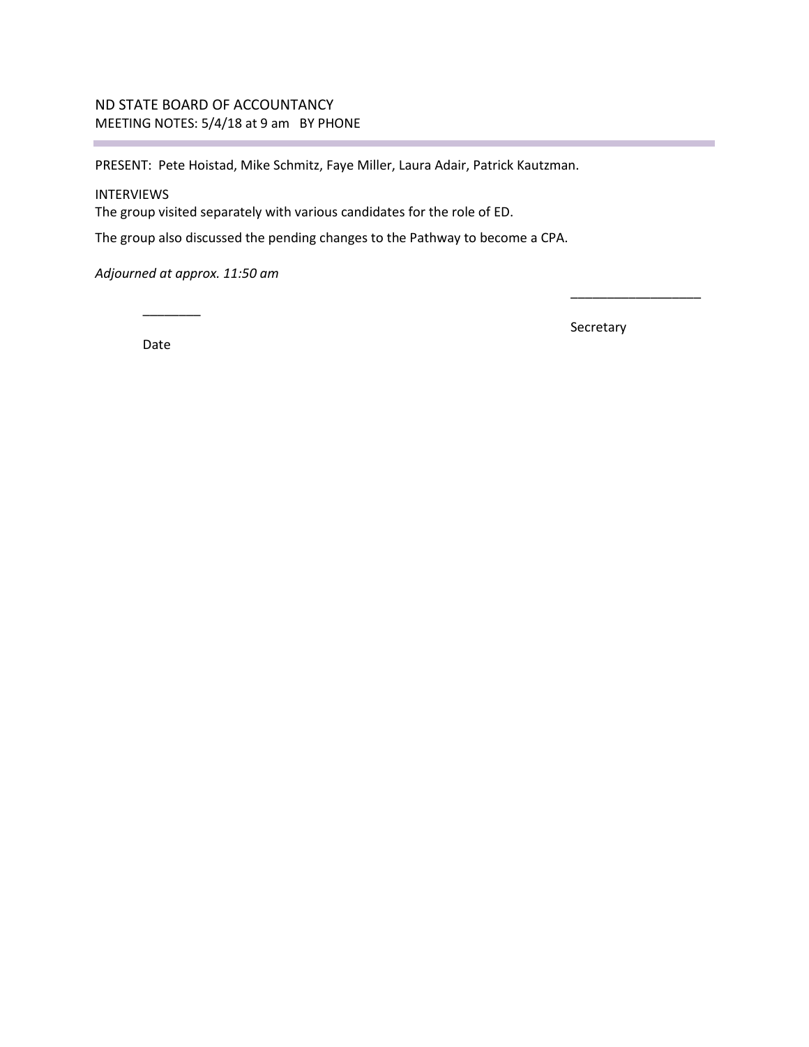# ND STATE BOARD OF ACCOUNTANCY MEETING NOTES: 5/4/18 at 9 am BY PHONE

PRESENT: Pete Hoistad, Mike Schmitz, Faye Miller, Laura Adair, Patrick Kautzman.

## INTERVIEWS

The group visited separately with various candidates for the role of ED.

The group also discussed the pending changes to the Pathway to become a CPA.

*Adjourned at approx. 11:50 am* 

Date

\_\_\_\_\_\_\_\_

Secretary

\_\_\_\_\_\_\_\_\_\_\_\_\_\_\_\_\_\_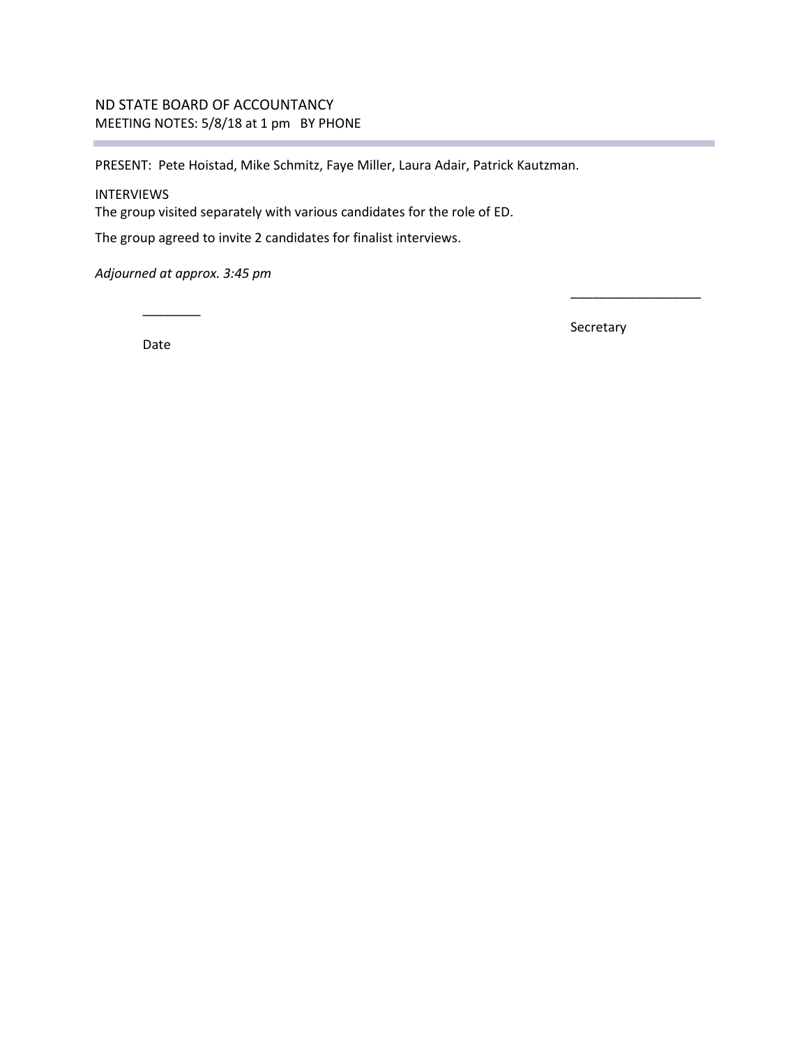# ND STATE BOARD OF ACCOUNTANCY MEETING NOTES: 5/8/18 at 1 pm BY PHONE

PRESENT: Pete Hoistad, Mike Schmitz, Faye Miller, Laura Adair, Patrick Kautzman.

## INTERVIEWS

÷

The group visited separately with various candidates for the role of ED.

The group agreed to invite 2 candidates for finalist interviews.

*Adjourned at approx. 3:45 pm* 

\_\_\_\_\_\_\_\_

Date

Secretary

\_\_\_\_\_\_\_\_\_\_\_\_\_\_\_\_\_\_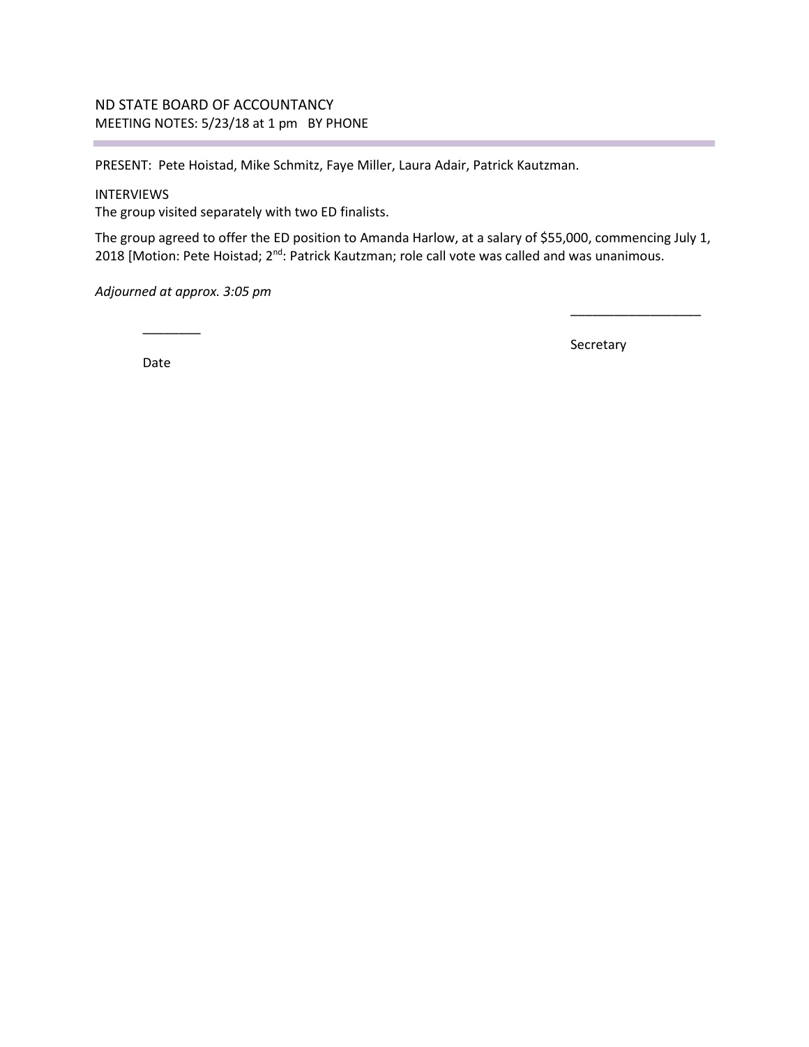## ND STATE BOARD OF ACCOUNTANCY MEETING NOTES: 5/23/18 at 1 pm BY PHONE

PRESENT: Pete Hoistad, Mike Schmitz, Faye Miller, Laura Adair, Patrick Kautzman.

### INTERVIEWS

The group visited separately with two ED finalists.

The group agreed to offer the ED position to Amanda Harlow, at a salary of \$55,000, commencing July 1, 2018 [Motion: Pete Hoistad; 2<sup>nd</sup>: Patrick Kautzman; role call vote was called and was unanimous.

*Adjourned at approx. 3:05 pm* 

 $\overline{\phantom{a}}$ Date

Secretary

\_\_\_\_\_\_\_\_\_\_\_\_\_\_\_\_\_\_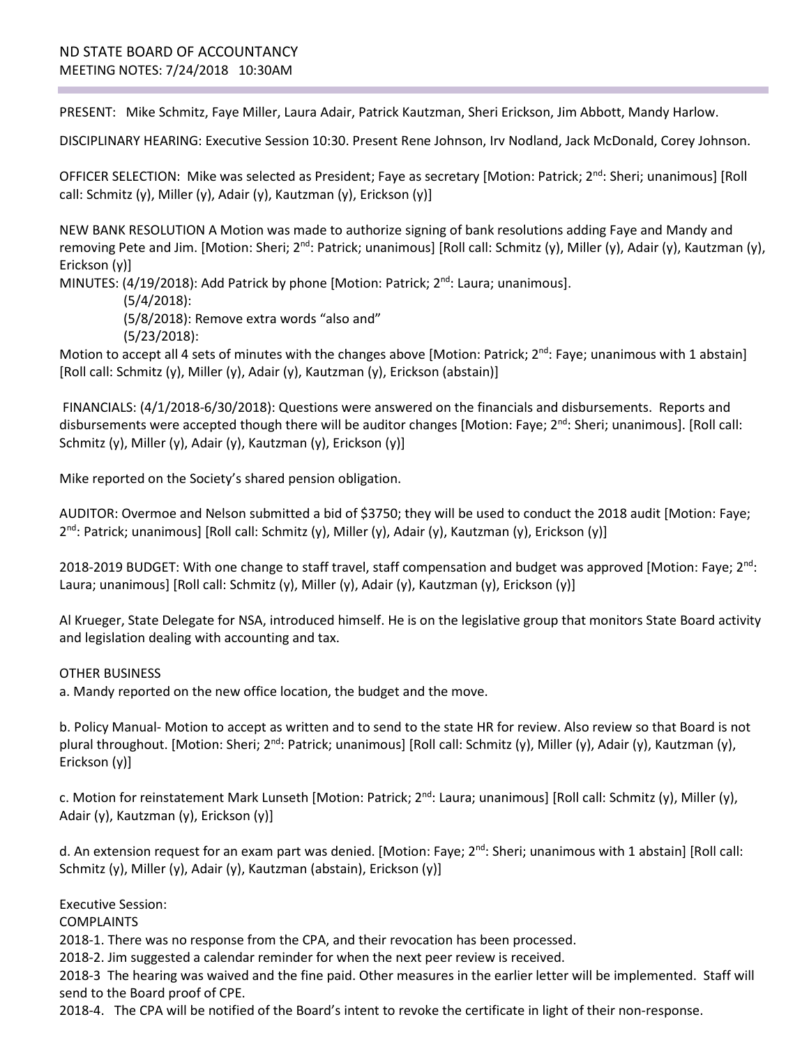PRESENT: Mike Schmitz, Faye Miller, Laura Adair, Patrick Kautzman, Sheri Erickson, Jim Abbott, Mandy Harlow.

DISCIPLINARY HEARING: Executive Session 10:30. Present Rene Johnson, Irv Nodland, Jack McDonald, Corey Johnson.

OFFICER SELECTION: Mike was selected as President; Faye as secretary [Motion: Patrick; 2<sup>nd</sup>: Sheri; unanimous] [Roll call: Schmitz (y), Miller (y), Adair (y), Kautzman (y), Erickson (y)]

NEW BANK RESOLUTION A Motion was made to authorize signing of bank resolutions adding Faye and Mandy and removing Pete and Jim. [Motion: Sheri; 2<sup>nd</sup>: Patrick; unanimous] [Roll call: Schmitz (y), Miller (y), Adair (y), Kautzman (y), Erickson (y)]

MINUTES:  $(4/19/2018)$ : Add Patrick by phone [Motion: Patrick;  $2<sup>nd</sup>$ : Laura; unanimous].

(5/4/2018):

(5/8/2018): Remove extra words "also and"

(5/23/2018):

Motion to accept all 4 sets of minutes with the changes above [Motion: Patrick;  $2^{nd}$ : Faye; unanimous with 1 abstain] [Roll call: Schmitz (y), Miller (y), Adair (y), Kautzman (y), Erickson (abstain)]

FINANCIALS: (4/1/2018-6/30/2018): Questions were answered on the financials and disbursements. Reports and disbursements were accepted though there will be auditor changes [Motion: Faye;  $2^{nd}$ : Sheri; unanimous]. [Roll call: Schmitz (y), Miller (y), Adair (y), Kautzman (y), Erickson (y)]

Mike reported on the Society's shared pension obligation.

AUDITOR: Overmoe and Nelson submitted a bid of \$3750; they will be used to conduct the 2018 audit [Motion: Faye; 2<sup>nd</sup>: Patrick; unanimous] [Roll call: Schmitz (y), Miller (y), Adair (y), Kautzman (y), Erickson (y)]

2018-2019 BUDGET: With one change to staff travel, staff compensation and budget was approved [Motion: Faye; 2<sup>nd</sup>: Laura; unanimous] [Roll call: Schmitz (y), Miller (y), Adair (y), Kautzman (y), Erickson (y)]

Al Krueger, State Delegate for NSA, introduced himself. He is on the legislative group that monitors State Board activity and legislation dealing with accounting and tax.

OTHER BUSINESS

a. Mandy reported on the new office location, the budget and the move.

b. Policy Manual- Motion to accept as written and to send to the state HR for review. Also review so that Board is not plural throughout. [Motion: Sheri; 2<sup>nd</sup>: Patrick; unanimous] [Roll call: Schmitz (y), Miller (y), Adair (y), Kautzman (y), Erickson (y)]

c. Motion for reinstatement Mark Lunseth [Motion: Patrick;  $2^{nd}$ : Laura; unanimous] [Roll call: Schmitz (y), Miller (y), Adair (y), Kautzman (y), Erickson (y)]

d. An extension request for an exam part was denied. [Motion: Faye; 2<sup>nd</sup>: Sheri; unanimous with 1 abstain] [Roll call: Schmitz (y), Miller (y), Adair (y), Kautzman (abstain), Erickson (y)]

Executive Session:

**COMPLAINTS** 

2018-1. There was no response from the CPA, and their revocation has been processed.

2018-2. Jim suggested a calendar reminder for when the next peer review is received.

2018-3 The hearing was waived and the fine paid. Other measures in the earlier letter will be implemented. Staff will send to the Board proof of CPE.

2018-4. The CPA will be notified of the Board's intent to revoke the certificate in light of their non-response.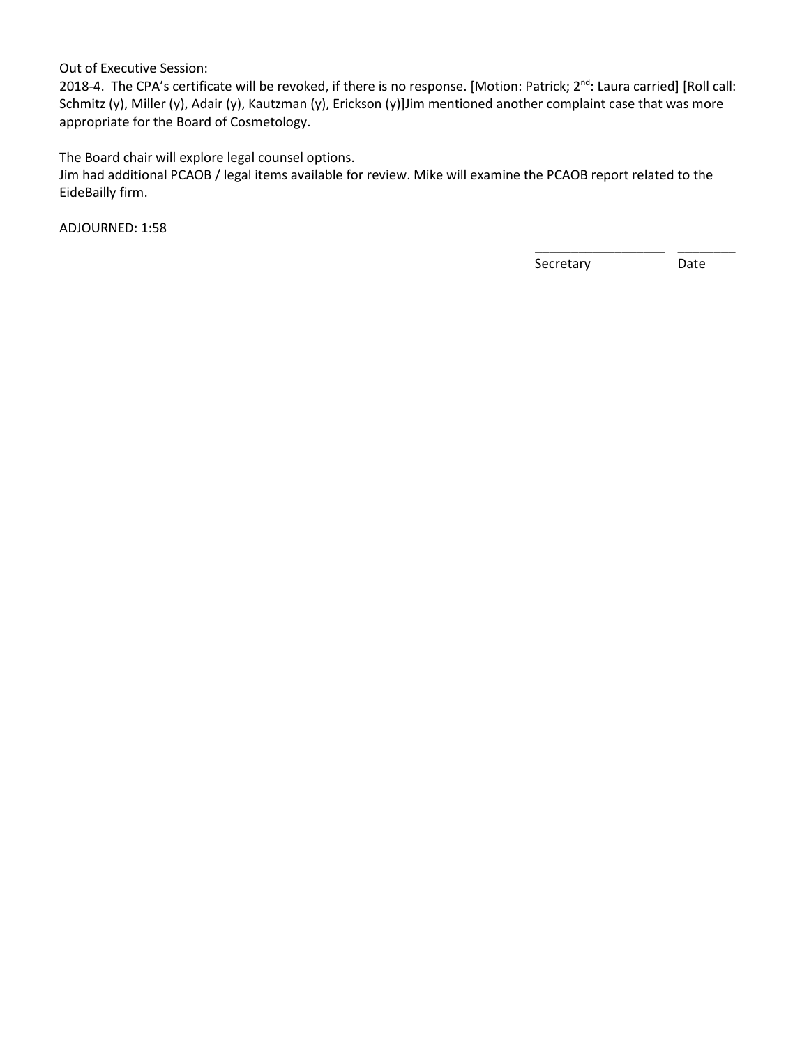Out of Executive Session:

2018-4. The CPA's certificate will be revoked, if there is no response. [Motion: Patrick; 2<sup>nd</sup>: Laura carried] [Roll call: Schmitz (y), Miller (y), Adair (y), Kautzman (y), Erickson (y)]Jim mentioned another complaint case that was more appropriate for the Board of Cosmetology.

The Board chair will explore legal counsel options.

Jim had additional PCAOB / legal items available for review. Mike will examine the PCAOB report related to the EideBailly firm.

 $\overline{\phantom{a}}$  , and the contract of the contract of the contract of the contract of the contract of the contract of the contract of the contract of the contract of the contract of the contract of the contract of the contrac

ADJOURNED: 1:58

expressed to the secretary of the Secretary of the Date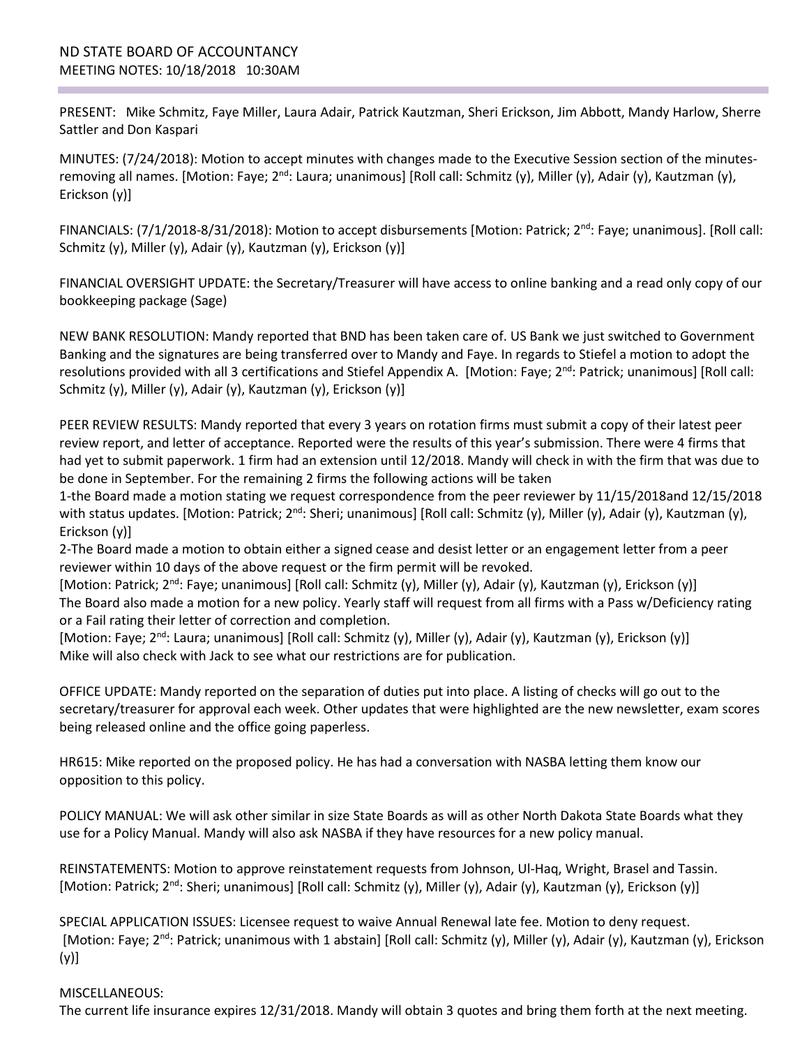PRESENT: Mike Schmitz, Faye Miller, Laura Adair, Patrick Kautzman, Sheri Erickson, Jim Abbott, Mandy Harlow, Sherre Sattler and Don Kaspari

MINUTES: (7/24/2018): Motion to accept minutes with changes made to the Executive Session section of the minutesremoving all names. [Motion: Faye; 2<sup>nd</sup>: Laura; unanimous] [Roll call: Schmitz (y), Miller (y), Adair (y), Kautzman (y), Erickson (y)]

FINANCIALS: (7/1/2018-8/31/2018): Motion to accept disbursements [Motion: Patrick; 2<sup>nd</sup>: Faye; unanimous]. [Roll call: Schmitz (y), Miller (y), Adair (y), Kautzman (y), Erickson (y)]

FINANCIAL OVERSIGHT UPDATE: the Secretary/Treasurer will have access to online banking and a read only copy of our bookkeeping package (Sage)

NEW BANK RESOLUTION: Mandy reported that BND has been taken care of. US Bank we just switched to Government Banking and the signatures are being transferred over to Mandy and Faye. In regards to Stiefel a motion to adopt the resolutions provided with all 3 certifications and Stiefel Appendix A. [Motion: Faye;  $2^{nd}$ : Patrick; unanimous] [Roll call: Schmitz (y), Miller (y), Adair (y), Kautzman (y), Erickson (y)]

PEER REVIEW RESULTS: Mandy reported that every 3 years on rotation firms must submit a copy of their latest peer review report, and letter of acceptance. Reported were the results of this year's submission. There were 4 firms that had yet to submit paperwork. 1 firm had an extension until 12/2018. Mandy will check in with the firm that was due to be done in September. For the remaining 2 firms the following actions will be taken

1-the Board made a motion stating we request correspondence from the peer reviewer by 11/15/2018and 12/15/2018 with status updates. [Motion: Patrick; 2<sup>nd</sup>: Sheri; unanimous] [Roll call: Schmitz (y), Miller (y), Adair (y), Kautzman (y), Erickson (y)]

2-The Board made a motion to obtain either a signed cease and desist letter or an engagement letter from a peer reviewer within 10 days of the above request or the firm permit will be revoked.

[Motion: Patrick; 2<sup>nd</sup>: Faye; unanimous] [Roll call: Schmitz (y), Miller (y), Adair (y), Kautzman (y), Erickson (y)] The Board also made a motion for a new policy. Yearly staff will request from all firms with a Pass w/Deficiency rating or a Fail rating their letter of correction and completion.

[Motion: Faye; 2<sup>nd</sup>: Laura; unanimous] [Roll call: Schmitz (y), Miller (y), Adair (y), Kautzman (y), Erickson (y)] Mike will also check with Jack to see what our restrictions are for publication.

OFFICE UPDATE: Mandy reported on the separation of duties put into place. A listing of checks will go out to the secretary/treasurer for approval each week. Other updates that were highlighted are the new newsletter, exam scores being released online and the office going paperless.

HR615: Mike reported on the proposed policy. He has had a conversation with NASBA letting them know our opposition to this policy.

POLICY MANUAL: We will ask other similar in size State Boards as will as other North Dakota State Boards what they use for a Policy Manual. Mandy will also ask NASBA if they have resources for a new policy manual.

REINSTATEMENTS: Motion to approve reinstatement requests from Johnson, Ul-Haq, Wright, Brasel and Tassin. [Motion: Patrick; 2<sup>nd</sup>: Sheri; unanimous] [Roll call: Schmitz (y), Miller (y), Adair (y), Kautzman (y), Erickson (y)]

SPECIAL APPLICATION ISSUES: Licensee request to waive Annual Renewal late fee. Motion to deny request. [Motion: Faye; 2<sup>nd</sup>: Patrick; unanimous with 1 abstain] [Roll call: Schmitz (y), Miller (y), Adair (y), Kautzman (y), Erickson (y)]

## MISCELLANEOUS: The current life insurance expires 12/31/2018. Mandy will obtain 3 quotes and bring them forth at the next meeting.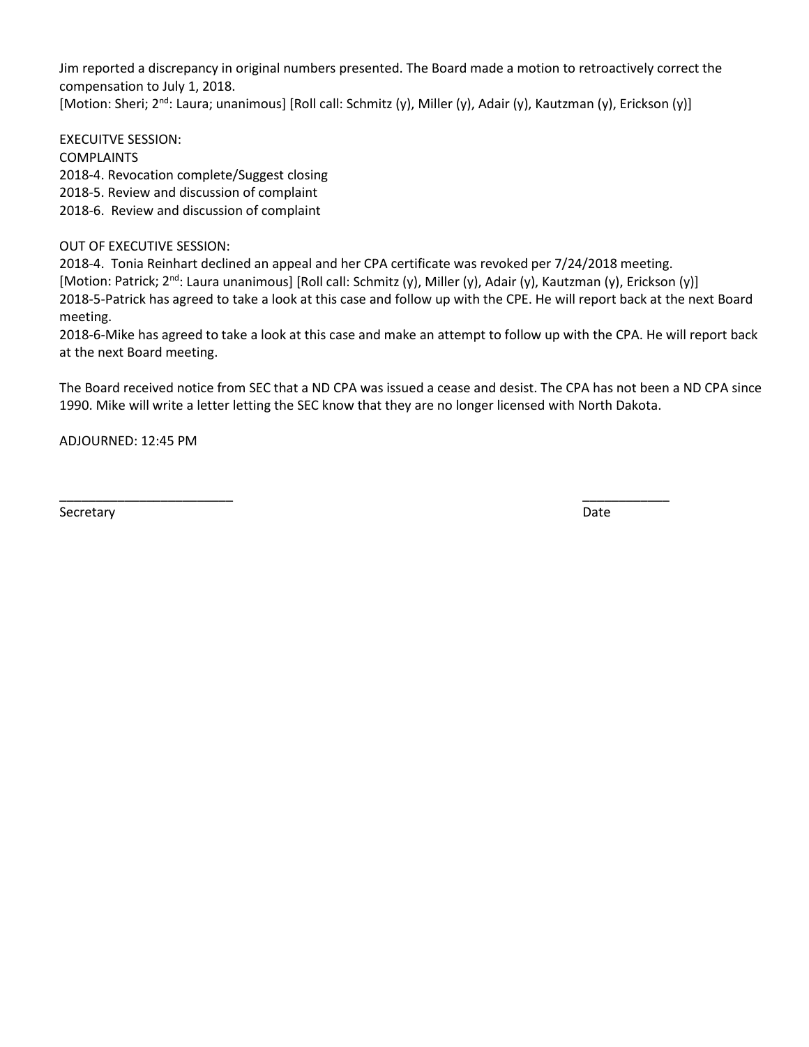Jim reported a discrepancy in original numbers presented. The Board made a motion to retroactively correct the compensation to July 1, 2018. [Motion: Sheri; 2<sup>nd</sup>: Laura; unanimous] [Roll call: Schmitz (y), Miller (y), Adair (y), Kautzman (y), Erickson (y)]

EXECUITVE SESSION: COMPLAINTS 2018-4. Revocation complete/Suggest closing 2018-5. Review and discussion of complaint 2018-6. Review and discussion of complaint

OUT OF EXECUTIVE SESSION:

2018-4. Tonia Reinhart declined an appeal and her CPA certificate was revoked per 7/24/2018 meeting. [Motion: Patrick; 2<sup>nd</sup>: Laura unanimous] [Roll call: Schmitz (y), Miller (y), Adair (y), Kautzman (y), Erickson (y)] 2018-5-Patrick has agreed to take a look at this case and follow up with the CPE. He will report back at the next Board meeting.

2018-6-Mike has agreed to take a look at this case and make an attempt to follow up with the CPA. He will report back at the next Board meeting.

The Board received notice from SEC that a ND CPA was issued a cease and desist. The CPA has not been a ND CPA since 1990. Mike will write a letter letting the SEC know that they are no longer licensed with North Dakota.

\_\_\_\_\_\_\_\_\_\_\_\_\_\_\_\_\_\_\_\_\_\_\_\_ \_\_\_\_\_\_\_\_\_\_\_\_

ADJOURNED: 12:45 PM

Secretary **Date**